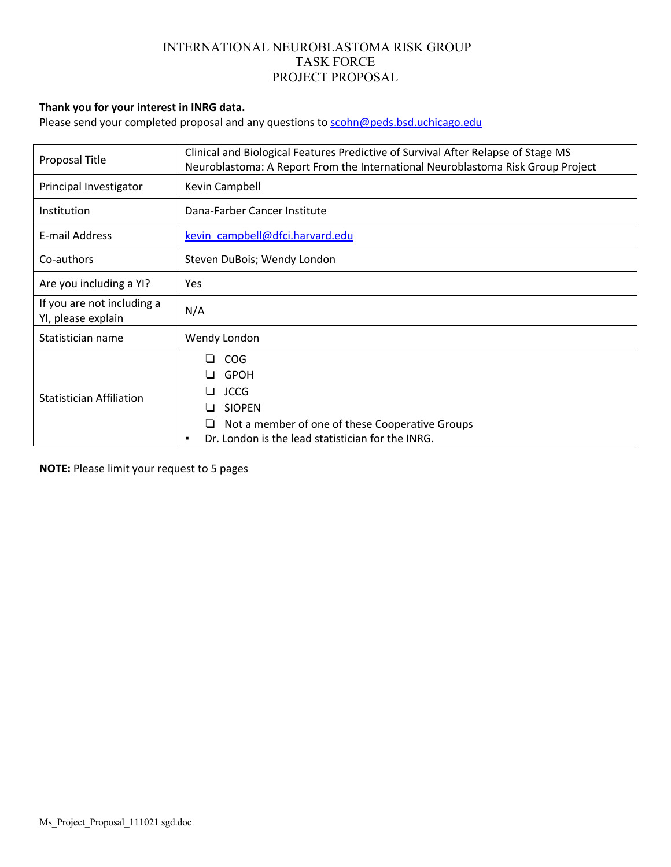#### **Thank you for your interest in INRG data.**

Please send your completed proposal and any questions to scohn@peds.bsd.uchicago.edu

| Proposal Title                                   | Clinical and Biological Features Predictive of Survival After Relapse of Stage MS<br>Neuroblastoma: A Report From the International Neuroblastoma Risk Group Project   |  |  |
|--------------------------------------------------|------------------------------------------------------------------------------------------------------------------------------------------------------------------------|--|--|
| Principal Investigator                           | Kevin Campbell                                                                                                                                                         |  |  |
| <b>Institution</b>                               | Dana-Farber Cancer Institute                                                                                                                                           |  |  |
| E-mail Address                                   | kevin campbell@dfci.harvard.edu                                                                                                                                        |  |  |
| Co-authors                                       | Steven DuBois; Wendy London                                                                                                                                            |  |  |
| Are you including a YI?                          | Yes                                                                                                                                                                    |  |  |
| If you are not including a<br>YI, please explain | N/A                                                                                                                                                                    |  |  |
| Statistician name                                | Wendy London                                                                                                                                                           |  |  |
| Statistician Affiliation                         | <b>COG</b><br><b>GPOH</b><br><b>JCCG</b><br><b>SIOPEN</b><br>Not a member of one of these Cooperative Groups<br>Dr. London is the lead statistician for the INRG.<br>٠ |  |  |

**NOTE:** Please limit your request to 5 pages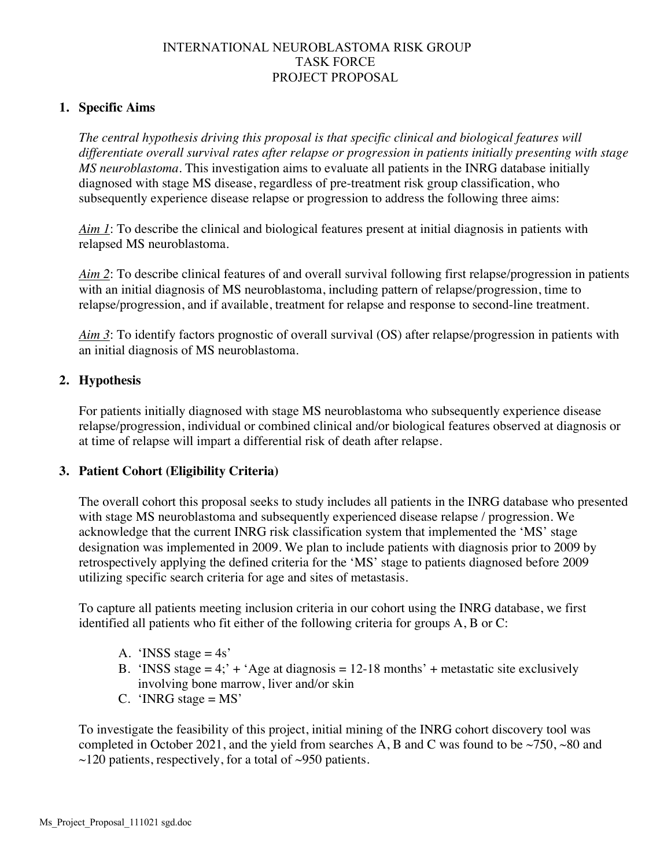#### **1. Specific Aims**

*The central hypothesis driving this proposal is that specific clinical and biological features will differentiate overall survival rates after relapse or progression in patients initially presenting with stage MS neuroblastoma*. This investigation aims to evaluate all patients in the INRG database initially diagnosed with stage MS disease, regardless of pre-treatment risk group classification, who subsequently experience disease relapse or progression to address the following three aims:

*Aim 1*: To describe the clinical and biological features present at initial diagnosis in patients with relapsed MS neuroblastoma.

*Aim 2*: To describe clinical features of and overall survival following first relapse/progression in patients with an initial diagnosis of MS neuroblastoma, including pattern of relapse/progression, time to relapse/progression, and if available, treatment for relapse and response to second-line treatment.

*Aim 3*: To identify factors prognostic of overall survival (OS) after relapse/progression in patients with an initial diagnosis of MS neuroblastoma.

#### **2. Hypothesis**

For patients initially diagnosed with stage MS neuroblastoma who subsequently experience disease relapse/progression, individual or combined clinical and/or biological features observed at diagnosis or at time of relapse will impart a differential risk of death after relapse.

#### **3. Patient Cohort (Eligibility Criteria)**

The overall cohort this proposal seeks to study includes all patients in the INRG database who presented with stage MS neuroblastoma and subsequently experienced disease relapse / progression. We acknowledge that the current INRG risk classification system that implemented the 'MS' stage designation was implemented in 2009. We plan to include patients with diagnosis prior to 2009 by retrospectively applying the defined criteria for the 'MS' stage to patients diagnosed before 2009 utilizing specific search criteria for age and sites of metastasis.

To capture all patients meeting inclusion criteria in our cohort using the INRG database, we first identified all patients who fit either of the following criteria for groups A, B or C:

- A. 'INSS stage  $=4s'$
- B. 'INSS stage  $= 4$ ;' + 'Age at diagnosis  $= 12{\text -}18$  months' + metastatic site exclusively involving bone marrow, liver and/or skin
- C. 'INRG stage  $= MS'$

To investigate the feasibility of this project, initial mining of the INRG cohort discovery tool was completed in October 2021, and the yield from searches A, B and C was found to be  $\sim$ 750,  $\sim$ 80 and  $\sim$ 120 patients, respectively, for a total of  $\sim$ 950 patients.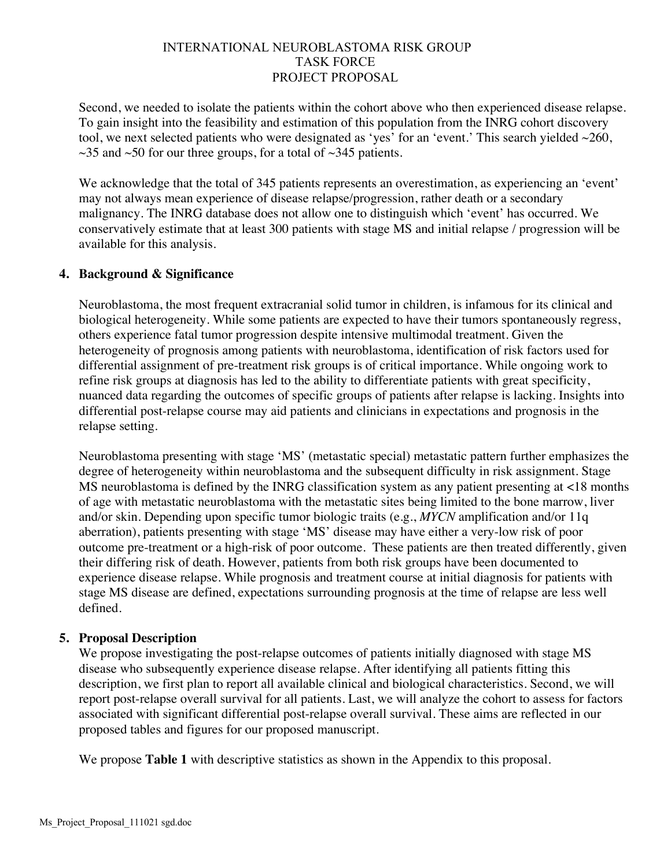Second, we needed to isolate the patients within the cohort above who then experienced disease relapse. To gain insight into the feasibility and estimation of this population from the INRG cohort discovery tool, we next selected patients who were designated as 'yes' for an 'event.' This search yielded  $\sim$ 260,  $\sim$ 35 and  $\sim$ 50 for our three groups, for a total of  $\sim$ 345 patients.

We acknowledge that the total of 345 patients represents an overestimation, as experiencing an 'event' may not always mean experience of disease relapse/progression, rather death or a secondary malignancy. The INRG database does not allow one to distinguish which 'event' has occurred. We conservatively estimate that at least 300 patients with stage MS and initial relapse / progression will be available for this analysis.

## **4. Background & Significance**

Neuroblastoma, the most frequent extracranial solid tumor in children, is infamous for its clinical and biological heterogeneity. While some patients are expected to have their tumors spontaneously regress, others experience fatal tumor progression despite intensive multimodal treatment. Given the heterogeneity of prognosis among patients with neuroblastoma, identification of risk factors used for differential assignment of pre-treatment risk groups is of critical importance. While ongoing work to refine risk groups at diagnosis has led to the ability to differentiate patients with great specificity, nuanced data regarding the outcomes of specific groups of patients after relapse is lacking. Insights into differential post-relapse course may aid patients and clinicians in expectations and prognosis in the relapse setting.

Neuroblastoma presenting with stage 'MS' (metastatic special) metastatic pattern further emphasizes the degree of heterogeneity within neuroblastoma and the subsequent difficulty in risk assignment. Stage MS neuroblastoma is defined by the INRG classification system as any patient presenting at <18 months of age with metastatic neuroblastoma with the metastatic sites being limited to the bone marrow, liver and/or skin. Depending upon specific tumor biologic traits (e.g., *MYCN* amplification and/or 11q aberration), patients presenting with stage 'MS' disease may have either a very-low risk of poor outcome pre-treatment or a high-risk of poor outcome. These patients are then treated differently, given their differing risk of death. However, patients from both risk groups have been documented to experience disease relapse. While prognosis and treatment course at initial diagnosis for patients with stage MS disease are defined, expectations surrounding prognosis at the time of relapse are less well defined.

#### **5. Proposal Description**

We propose investigating the post-relapse outcomes of patients initially diagnosed with stage MS disease who subsequently experience disease relapse. After identifying all patients fitting this description, we first plan to report all available clinical and biological characteristics. Second, we will report post-relapse overall survival for all patients. Last, we will analyze the cohort to assess for factors associated with significant differential post-relapse overall survival. These aims are reflected in our proposed tables and figures for our proposed manuscript.

We propose **Table 1** with descriptive statistics as shown in the Appendix to this proposal.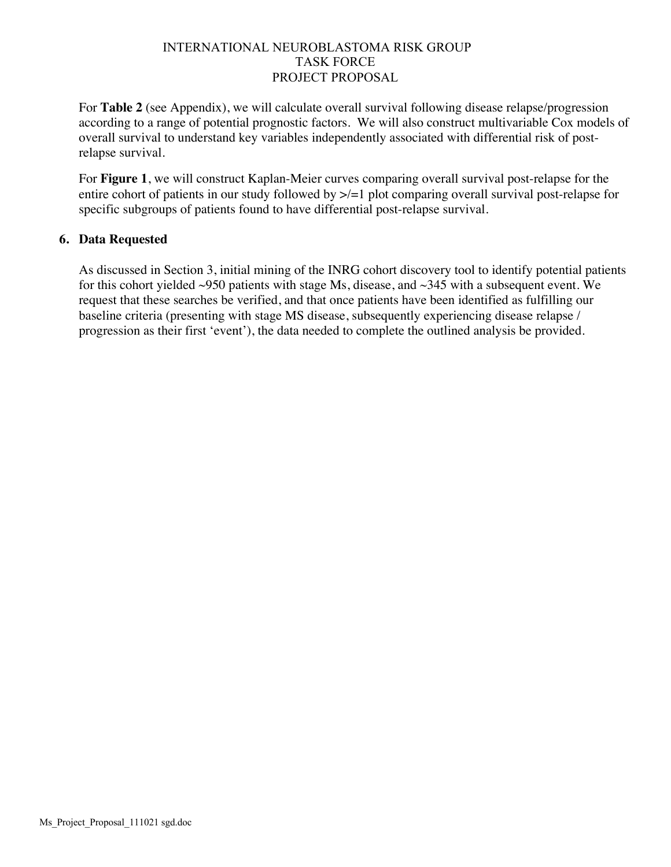For **Table 2** (see Appendix), we will calculate overall survival following disease relapse/progression according to a range of potential prognostic factors. We will also construct multivariable Cox models of overall survival to understand key variables independently associated with differential risk of postrelapse survival.

For **Figure 1**, we will construct Kaplan-Meier curves comparing overall survival post-relapse for the entire cohort of patients in our study followed by  $\ge$  = 1 plot comparing overall survival post-relapse for specific subgroups of patients found to have differential post-relapse survival.

## **6. Data Requested**

As discussed in Section 3, initial mining of the INRG cohort discovery tool to identify potential patients for this cohort yielded ~950 patients with stage Ms, disease, and ~345 with a subsequent event. We request that these searches be verified, and that once patients have been identified as fulfilling our baseline criteria (presenting with stage MS disease, subsequently experiencing disease relapse / progression as their first 'event'), the data needed to complete the outlined analysis be provided.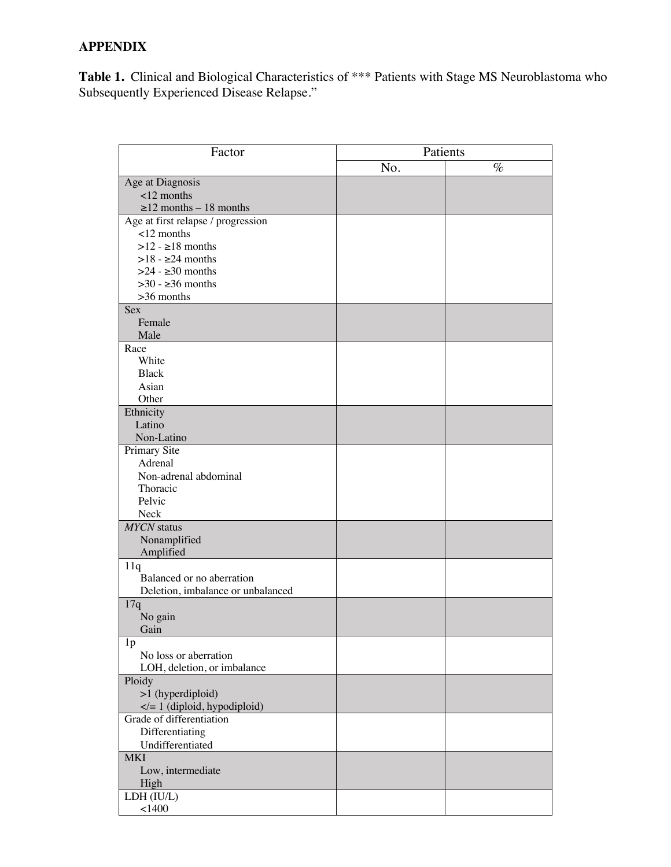# **APPENDIX**

**Table 1.** Clinical and Biological Characteristics of \*\*\* Patients with Stage MS Neuroblastoma who Subsequently Experienced Disease Relapse."

| Factor                                             | Patients |      |  |
|----------------------------------------------------|----------|------|--|
|                                                    | No.      | $\%$ |  |
| Age at Diagnosis                                   |          |      |  |
| $12$ months                                        |          |      |  |
| $\geq$ 12 months - 18 months                       |          |      |  |
| Age at first relapse / progression                 |          |      |  |
| $<$ 12 months                                      |          |      |  |
| $>12 - 18$ months                                  |          |      |  |
| $>18$ - $\geq$ 24 months                           |          |      |  |
| $>24$ - $\geq$ 30 months                           |          |      |  |
| $>30 - 236$ months                                 |          |      |  |
| $>36$ months                                       |          |      |  |
| Sex                                                |          |      |  |
| Female                                             |          |      |  |
| Male                                               |          |      |  |
| Race                                               |          |      |  |
| White                                              |          |      |  |
| <b>Black</b>                                       |          |      |  |
| Asian                                              |          |      |  |
| Other                                              |          |      |  |
| Ethnicity                                          |          |      |  |
| Latino                                             |          |      |  |
| Non-Latino                                         |          |      |  |
| Primary Site                                       |          |      |  |
| Adrenal                                            |          |      |  |
| Non-adrenal abdominal                              |          |      |  |
| Thoracic                                           |          |      |  |
| Pelvic                                             |          |      |  |
| Neck                                               |          |      |  |
| <b>MYCN</b> status                                 |          |      |  |
| Nonamplified                                       |          |      |  |
| Amplified                                          |          |      |  |
| 11q                                                |          |      |  |
| Balanced or no aberration                          |          |      |  |
| Deletion, imbalance or unbalanced                  |          |      |  |
| 17q                                                |          |      |  |
| No gain                                            |          |      |  |
| Gain                                               |          |      |  |
| 1 <sub>p</sub>                                     |          |      |  |
| No loss or aberration                              |          |      |  |
| LOH, deletion, or imbalance                        |          |      |  |
| Ploidy                                             |          |      |  |
| >1 (hyperdiploid)                                  |          |      |  |
| = 1 (diploid, hypodiploid)</td <td></td> <td></td> |          |      |  |
| Grade of differentiation                           |          |      |  |
| Differentiating                                    |          |      |  |
| Undifferentiated                                   |          |      |  |
| <b>MKI</b>                                         |          |      |  |
| Low, intermediate                                  |          |      |  |
| High                                               |          |      |  |
| LDH (IU/L)                                         |          |      |  |
| < 1400                                             |          |      |  |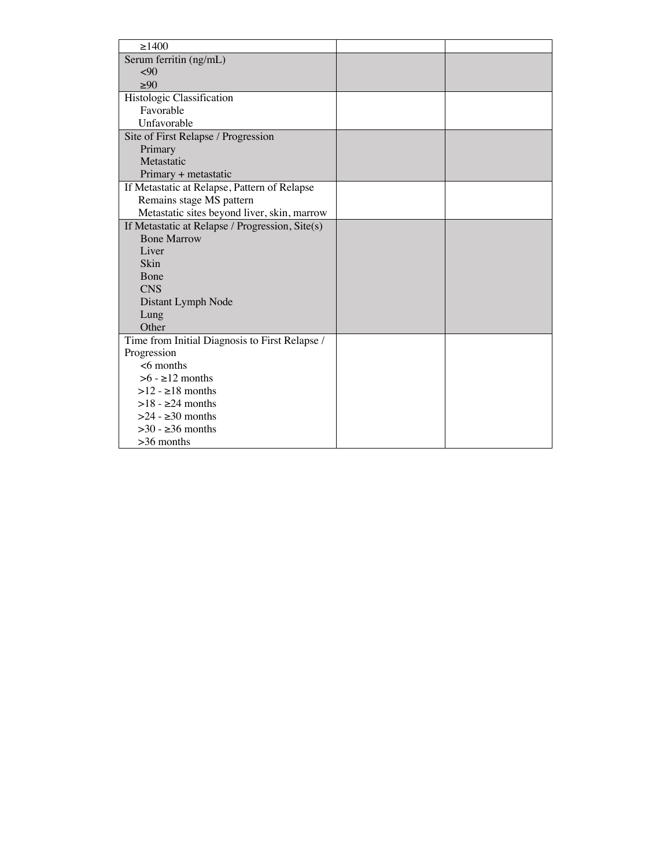| >1400                                           |  |
|-------------------------------------------------|--|
| Serum ferritin (ng/mL)                          |  |
| < 90                                            |  |
| >90                                             |  |
| Histologic Classification                       |  |
| Favorable                                       |  |
| Unfavorable                                     |  |
| Site of First Relapse / Progression             |  |
| Primary                                         |  |
| Metastatic                                      |  |
| Primary + metastatic                            |  |
| If Metastatic at Relapse, Pattern of Relapse    |  |
| Remains stage MS pattern                        |  |
| Metastatic sites beyond liver, skin, marrow     |  |
| If Metastatic at Relapse / Progression, Site(s) |  |
| <b>Bone Marrow</b>                              |  |
| Liver                                           |  |
| <b>Skin</b>                                     |  |
| Bone                                            |  |
| <b>CNS</b>                                      |  |
| Distant Lymph Node                              |  |
| Lung                                            |  |
| Other                                           |  |
| Time from Initial Diagnosis to First Relapse /  |  |
| Progression                                     |  |
| $<6$ months                                     |  |
| $>6$ - $\geq$ 12 months                         |  |
| $>12 - 18$ months                               |  |
| $>18 - 24$ months                               |  |
| $>24$ - $\geq$ 30 months                        |  |
| $>30 - 36$ months                               |  |
| $>36$ months                                    |  |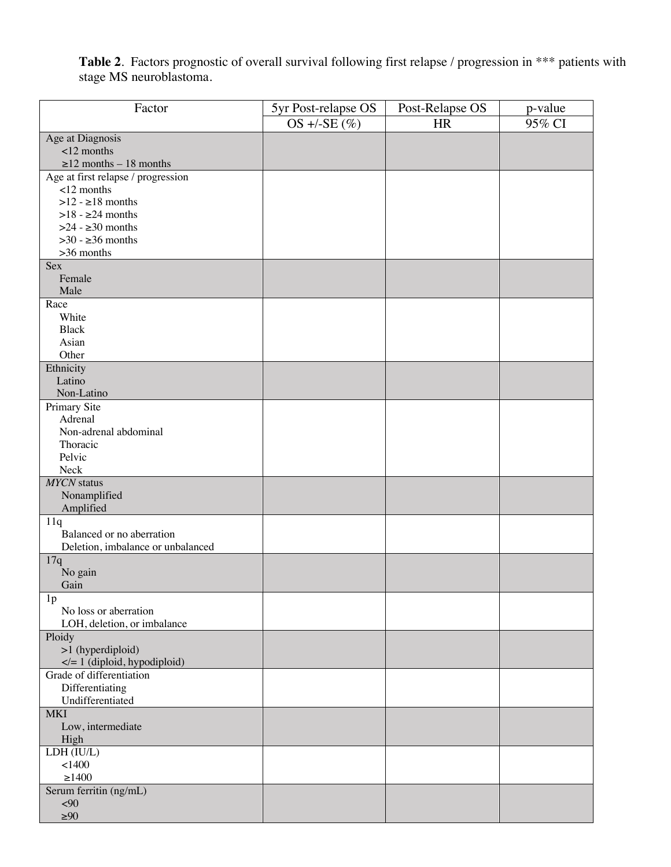**Table 2**. Factors prognostic of overall survival following first relapse / progression in \*\*\* patients with stage MS neuroblastoma.

| Factor                                       | 5yr Post-relapse OS | Post-Relapse OS | p-value |
|----------------------------------------------|---------------------|-----------------|---------|
|                                              | OS +/-SE $(\%)$     | <b>HR</b>       | 95% CI  |
| Age at Diagnosis                             |                     |                 |         |
| $<$ 12 months                                |                     |                 |         |
| $\geq$ 12 months - 18 months                 |                     |                 |         |
| Age at first relapse / progression           |                     |                 |         |
| $<$ 12 months                                |                     |                 |         |
| $>12 - 18$ months                            |                     |                 |         |
| $>18$ - $\geq$ 24 months                     |                     |                 |         |
| $>24$ - $\geq$ 30 months                     |                     |                 |         |
| $>30 - 236$ months                           |                     |                 |         |
| >36 months                                   |                     |                 |         |
| Sex                                          |                     |                 |         |
| Female                                       |                     |                 |         |
| Male                                         |                     |                 |         |
| Race                                         |                     |                 |         |
| White                                        |                     |                 |         |
| <b>Black</b>                                 |                     |                 |         |
| Asian                                        |                     |                 |         |
| Other                                        |                     |                 |         |
| Ethnicity                                    |                     |                 |         |
| Latino                                       |                     |                 |         |
| Non-Latino                                   |                     |                 |         |
| Primary Site                                 |                     |                 |         |
| Adrenal                                      |                     |                 |         |
| Non-adrenal abdominal                        |                     |                 |         |
| Thoracic<br>Pelvic                           |                     |                 |         |
| Neck                                         |                     |                 |         |
| <b>MYCN</b> status                           |                     |                 |         |
| Nonamplified                                 |                     |                 |         |
| Amplified                                    |                     |                 |         |
| 11q                                          |                     |                 |         |
| Balanced or no aberration                    |                     |                 |         |
| Deletion, imbalance or unbalanced            |                     |                 |         |
| 17q                                          |                     |                 |         |
| No gain                                      |                     |                 |         |
| Gain                                         |                     |                 |         |
| 1 <sub>p</sub>                               |                     |                 |         |
| No loss or aberration                        |                     |                 |         |
| LOH, deletion, or imbalance                  |                     |                 |         |
| Ploidy                                       |                     |                 |         |
| >1 (hyperdiploid)                            |                     |                 |         |
| $\langle = 1 \rangle$ (diploid, hypodiploid) |                     |                 |         |
| Grade of differentiation                     |                     |                 |         |
| Differentiating                              |                     |                 |         |
| Undifferentiated                             |                     |                 |         |
| <b>MKI</b>                                   |                     |                 |         |
| Low, intermediate                            |                     |                 |         |
| High                                         |                     |                 |         |
| LDH (IU/L)                                   |                     |                 |         |
| 1400                                         |                     |                 |         |
| $\geq$ 1400                                  |                     |                 |         |
| Serum ferritin (ng/mL)                       |                     |                 |         |
| <90                                          |                     |                 |         |
| $\geq 90$                                    |                     |                 |         |